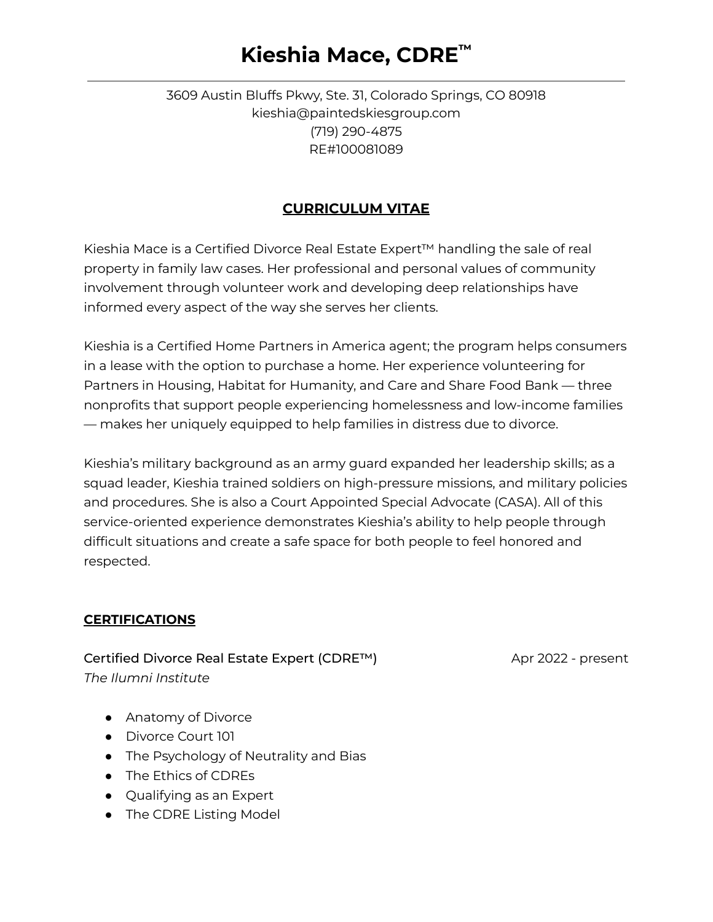### 3609 Austin Bluffs Pkwy, Ste. 31, Colorado Springs, CO 80918 kieshia@paintedskiesgroup.com (719) 290-4875 RE#100081089

### **CURRICULUM VITAE**

Kieshia Mace is a Certified Divorce Real Estate Expert™ handling the sale of real property in family law cases. Her professional and personal values of community involvement through volunteer work and developing deep relationships have informed every aspect of the way she serves her clients.

Kieshia is a Certified Home Partners in America agent; the program helps consumers in a lease with the option to purchase a home. Her experience volunteering for Partners in Housing, Habitat for Humanity, and Care and Share Food Bank — three nonprofits that support people experiencing homelessness and low-income families — makes her uniquely equipped to help families in distress due to divorce.

Kieshia's military background as an army guard expanded her leadership skills; as a squad leader, Kieshia trained soldiers on high-pressure missions, and military policies and procedures. She is also a Court Appointed Special Advocate (CASA). All of this service-oriented experience demonstrates Kieshia's ability to help people through difficult situations and create a safe space for both people to feel honored and respected.

#### **CERTIFICATIONS**

Certified Divorce Real Estate Expert (CDRE™) Apr 2022 - present *The Ilumni Institute*

- Anatomy of Divorce
- Divorce Court 101
- The Psychology of Neutrality and Bias
- The Ethics of CDREs
- Qualifying as an Expert
- The CDRE Listing Model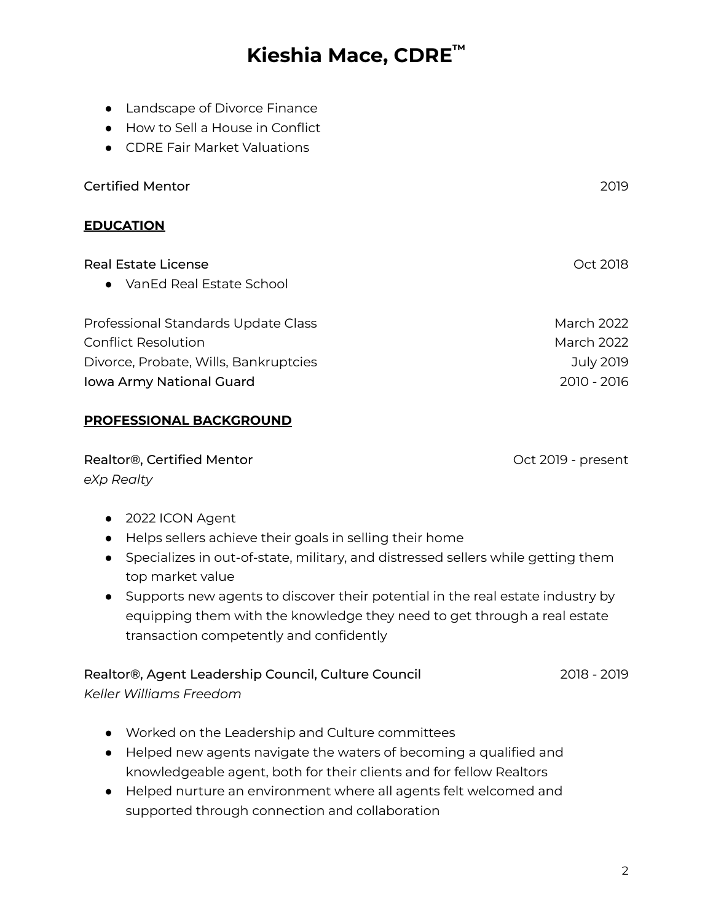- Landscape of Divorce Finance
- How to Sell a House in Conflict
- CDRE Fair Market Valuations

Certified Mentor 2019

#### **EDUCATION**

| <b>Real Estate License</b>            | Oct 2018    |
|---------------------------------------|-------------|
| • VanEd Real Estate School            |             |
| Professional Standards Update Class   | March 2022  |
| <b>Conflict Resolution</b>            | March 2022  |
| Divorce, Probate, Wills, Bankruptcies | July 2019   |
| Iowa Army National Guard              | 2010 - 2016 |

#### **PROFESSIONAL BACKGROUND**

Realtor®, Certified Mentor **Canadian Control Control** Cot 2019 - present *eXp Realty*

- 2022 ICON Agent
- Helps sellers achieve their goals in selling their home
- Specializes in out-of-state, military, and distressed sellers while getting them top market value
- Supports new agents to discover their potential in the real estate industry by equipping them with the knowledge they need to get through a real estate transaction competently and confidently

### Realtor®, Agent Leadership Council, Culture Council 2018 - 2019 - 2019

*Keller Williams Freedom*

- Worked on the Leadership and Culture committees
- Helped new agents navigate the waters of becoming a qualified and knowledgeable agent, both for their clients and for fellow Realtors
- Helped nurture an environment where all agents felt welcomed and supported through connection and collaboration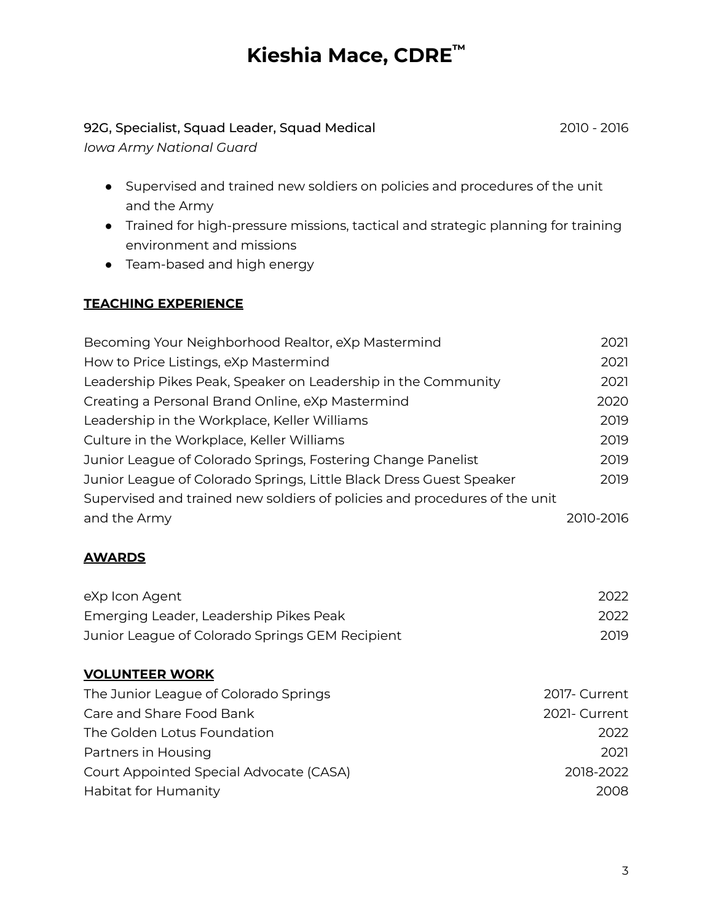### 92G, Specialist, Squad Leader, Squad Medical 2010 - 2016

*Iowa Army National Guard*

- Supervised and trained new soldiers on policies and procedures of the unit and the Army
- Trained for high-pressure missions, tactical and strategic planning for training environment and missions
- Team-based and high energy

### **TEACHING EXPERIENCE**

| Becoming Your Neighborhood Realtor, eXp Mastermind                         | 2021      |
|----------------------------------------------------------------------------|-----------|
| How to Price Listings, eXp Mastermind                                      | 2021      |
| Leadership Pikes Peak, Speaker on Leadership in the Community              | 2021      |
| Creating a Personal Brand Online, eXp Mastermind                           | 2020      |
| Leadership in the Workplace, Keller Williams                               | 2019      |
| Culture in the Workplace, Keller Williams                                  | 2019      |
| Junior League of Colorado Springs, Fostering Change Panelist               | 2019      |
| Junior League of Colorado Springs, Little Black Dress Guest Speaker        | 2019      |
| Supervised and trained new soldiers of policies and procedures of the unit |           |
| and the Army                                                               | 2010-2016 |

### **AWARDS**

| eXp Icon Agent                                  | 2022 |
|-------------------------------------------------|------|
| Emerging Leader, Leadership Pikes Peak          | 2022 |
| Junior League of Colorado Springs GEM Recipient | 2019 |

### **VOLUNTEER WORK**

| The Junior League of Colorado Springs   | 2017- Current |
|-----------------------------------------|---------------|
| Care and Share Food Bank                | 2021- Current |
| The Golden Lotus Foundation             | 2022          |
| Partners in Housing                     | 2021          |
| Court Appointed Special Advocate (CASA) | 2018-2022     |
| Habitat for Humanity                    | 2008          |
|                                         |               |